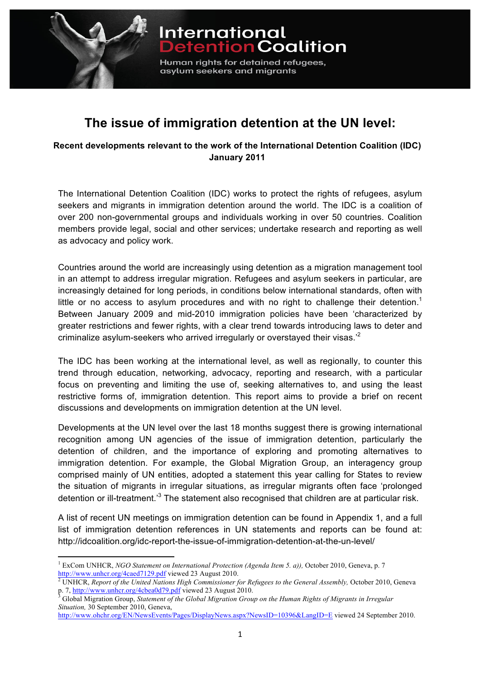

**The issue of immigration detention at the UN level:**

Human rights for detained refugees,

asylum seekers and migrants

International<br>Detention Coalition

**Recent developments relevant to the work of the International Detention Coalition (IDC) January 2011**

The International Detention Coalition (IDC) works to protect the rights of refugees, asylum seekers and migrants in immigration detention around the world. The IDC is a coalition of over 200 non-governmental groups and individuals working in over 50 countries. Coalition members provide legal, social and other services; undertake research and reporting as well as advocacy and policy work.

Countries around the world are increasingly using detention as a migration management tool in an attempt to address irregular migration. Refugees and asylum seekers in particular, are increasingly detained for long periods, in conditions below international standards, often with little or no access to asylum procedures and with no right to challenge their detention.<sup>1</sup> Between January 2009 and mid-2010 immigration policies have been 'characterized by greater restrictions and fewer rights, with a clear trend towards introducing laws to deter and criminalize asylum-seekers who arrived irregularly or overstayed their visas.'2

The IDC has been working at the international level, as well as regionally, to counter this trend through education, networking, advocacy, reporting and research, with a particular focus on preventing and limiting the use of, seeking alternatives to, and using the least restrictive forms of, immigration detention. This report aims to provide a brief on recent discussions and developments on immigration detention at the UN level.

Developments at the UN level over the last 18 months suggest there is growing international recognition among UN agencies of the issue of immigration detention, particularly the detention of children, and the importance of exploring and promoting alternatives to immigration detention. For example, the Global Migration Group, an interagency group comprised mainly of UN entities, adopted a statement this year calling for States to review the situation of migrants in irregular situations, as irregular migrants often face 'prolonged detention or ill-treatment.<sup>3</sup> The statement also recognised that children are at particular risk.

A list of recent UN meetings on immigration detention can be found in Appendix 1, and a full list of immigration detention references in UN statements and reports can be found at: http://idcoalition.org/idc-report-the-issue-of-immigration-detention-at-the-un-level/

<sup>&</sup>lt;sup>1</sup> ExCom UNHCR, *NGO Statement on International Protection (Agenda Item 5. a))*, October 2010, Geneva, p. 7 http://www.unhcr.org/4caed7129.pdf viewed 23 August 2010.<br><sup>2</sup> UNHCR, *Report of the United Nations High Commissioner for Refugees to the General Assembly, October 2010, Geneva* 

p. 7, http://www.unhcr.org/4cbea0d79.pdf viewed 23 August 2010.<br><sup>3</sup> Global Migration Group, *Statement of the Global Migration Group on the Human Rights of Migrants in Irregular* 

*Situation,* 30 September 2010, Geneva,

http://www.ohchr.org/EN/NewsEvents/Pages/DisplayNews.aspx?NewsID=10396&LangID=E viewed 24 September 2010.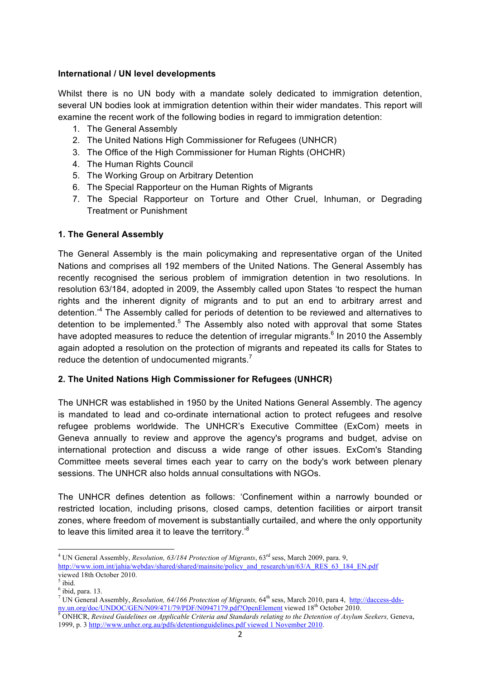#### **International / UN level developments**

Whilst there is no UN body with a mandate solely dedicated to immigration detention, several UN bodies look at immigration detention within their wider mandates. This report will examine the recent work of the following bodies in regard to immigration detention:

- 1. The General Assembly
- 2. The United Nations High Commissioner for Refugees (UNHCR)
- 3. The Office of the High Commissioner for Human Rights (OHCHR)
- 4. The Human Rights Council
- 5. The Working Group on Arbitrary Detention
- 6. The Special Rapporteur on the Human Rights of Migrants
- 7. The Special Rapporteur on Torture and Other Cruel, Inhuman, or Degrading Treatment or Punishment

#### **1. The General Assembly**

The General Assembly is the main policymaking and representative organ of the United Nations and comprises all 192 members of the United Nations. The General Assembly has recently recognised the serious problem of immigration detention in two resolutions. In resolution 63/184, adopted in 2009, the Assembly called upon States 'to respect the human rights and the inherent dignity of migrants and to put an end to arbitrary arrest and detention.<sup>4</sup> The Assembly called for periods of detention to be reviewed and alternatives to detention to be implemented. $5$  The Assembly also noted with approval that some States have adopted measures to reduce the detention of irregular migrants.<sup>6</sup> In 2010 the Assembly again adopted a resolution on the protection of migrants and repeated its calls for States to reduce the detention of undocumented migrants.<sup>7</sup>

#### **2. The United Nations High Commissioner for Refugees (UNHCR)**

The UNHCR was established in 1950 by the United Nations General Assembly. The agency is mandated to lead and co-ordinate international action to protect refugees and resolve refugee problems worldwide. The UNHCR's Executive Committee (ExCom) meets in Geneva annually to review and approve the agency's programs and budget, advise on international protection and discuss a wide range of other issues. ExCom's Standing Committee meets several times each year to carry on the body's work between plenary sessions. The UNHCR also holds annual consultations with NGOs.

The UNHCR defines detention as follows: 'Confinement within a narrowly bounded or restricted location, including prisons, closed camps, detention facilities or airport transit zones, where freedom of movement is substantially curtailed, and where the only opportunity to leave this limited area it to leave the territory.<sup>8</sup>

<sup>&</sup>lt;sup>4</sup> UN General Assembly, *Resolution, 63/184 Protection of Migrants*, 63<sup>rd</sup> sess, March 2009, para. 9, http://www.iom.int/jahia/webdav/shared/shared/mainsite/policy\_and\_research/un/63/A\_RES\_63\_184\_EN.pdf viewed 18th October 2010.

 $<sup>5</sup>$  ibid.</sup>

 $<sup>6</sup>$  ibid, para. 13.</sup>

<sup>&</sup>lt;sup>7</sup> UN General Assembly, *Resolution, 64/166 Protection of Migrants*, 64<sup>th</sup> sess, March 2010, para 4, http://daccess-ddsny.un.org/doc/UNDOC/GEN/N09/471/79/PDF/N0947179.pdf?OpenElement viewed 18<sup>th</sup> October 2010.<br><sup>8</sup> ONHCR, *Revised Guidelines on Applicable Criteria and Standards relating to the Detention of Asylum Seekers, Geneva,* 

<sup>1999,</sup> p. 3 http://www.unhcr.org.au/pdfs/detentionguidelines.pdf viewed 1 November 2010.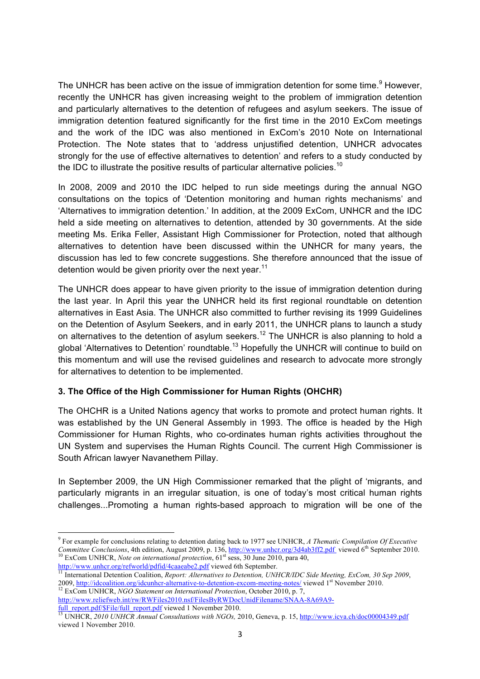The UNHCR has been active on the issue of immigration detention for some time.<sup>9</sup> However, recently the UNHCR has given increasing weight to the problem of immigration detention and particularly alternatives to the detention of refugees and asylum seekers. The issue of immigration detention featured significantly for the first time in the 2010 ExCom meetings and the work of the IDC was also mentioned in ExCom's 2010 Note on International Protection. The Note states that to 'address unjustified detention, UNHCR advocates strongly for the use of effective alternatives to detention' and refers to a study conducted by the IDC to illustrate the positive results of particular alternative policies.<sup>10</sup>

In 2008, 2009 and 2010 the IDC helped to run side meetings during the annual NGO consultations on the topics of 'Detention monitoring and human rights mechanisms' and 'Alternatives to immigration detention.' In addition, at the 2009 ExCom, UNHCR and the IDC held a side meeting on alternatives to detention, attended by 30 governments. At the side meeting Ms. Erika Feller, Assistant High Commissioner for Protection, noted that although alternatives to detention have been discussed within the UNHCR for many years, the discussion has led to few concrete suggestions. She therefore announced that the issue of detention would be given priority over the next year.<sup>11</sup>

The UNHCR does appear to have given priority to the issue of immigration detention during the last year. In April this year the UNHCR held its first regional roundtable on detention alternatives in East Asia. The UNHCR also committed to further revising its 1999 Guidelines on the Detention of Asylum Seekers, and in early 2011, the UNHCR plans to launch a study on alternatives to the detention of asylum seekers.<sup>12</sup> The UNHCR is also planning to hold a global 'Alternatives to Detention' roundtable.<sup>13</sup> Hopefully the UNHCR will continue to build on this momentum and will use the revised guidelines and research to advocate more strongly for alternatives to detention to be implemented.

## **3. The Office of the High Commissioner for Human Rights (OHCHR)**

The OHCHR is a United Nations agency that works to promote and protect human rights. It was established by the UN General Assembly in 1993. The office is headed by the High Commissioner for Human Rights, who co-ordinates human rights activities throughout the UN System and supervises the Human Rights Council. The current High Commissioner is South African lawyer Navanethem Pillay.

In September 2009, the UN High Commissioner remarked that the plight of 'migrants, and particularly migrants in an irregular situation, is one of today's most critical human rights challenges...Promoting a human rights-based approach to migration will be one of the

<sup>9</sup> For example for conclusions relating to detention dating back to 1977 see UNHCR, *A Thematic Compilation Of Executive Committee Conclusions*, 4th edition, August 2009, p. 136, http://www.unhcr.org/3d4ab3ff2.pdf viewed 6<sup>th</sup> September 2010.<br><sup>10</sup> ExCom UNHCR, *Note on international protection*, 61<sup>st</sup> sess, 30 June 2010, para 40,

http://www.unhcr.org/refworld/pdfid/4caaeabe2.pdf viewed 6th September.<br><sup>11</sup> International Detention Coalition, *Report: Alternatives to Detention, UNHCR/IDC Side Meeting, ExCom, 30 Sep 2009*, 2009, http://idcoalition.org/idcunhcr-alternative-to-detention-excom-meeting-notes/ viewed 1st November 2010. 12 ExCom UNHCR, *NGO Statement on International Protection*, October 2010, p. 7,

http://www.reliefweb.int/rw/RWFiles2010.nsf/FilesByRWDocUnidFilename/SNAA-8A69A9-

full\_report.pdf/\$File/full\_report.pdf viewed 1 November 2010. 13 UNHCR, *2010 UNHCR Annual Consultations with NGOs,* 2010, Geneva, p. 15, http://www.icva.ch/doc00004349.pdf viewed 1 November 2010.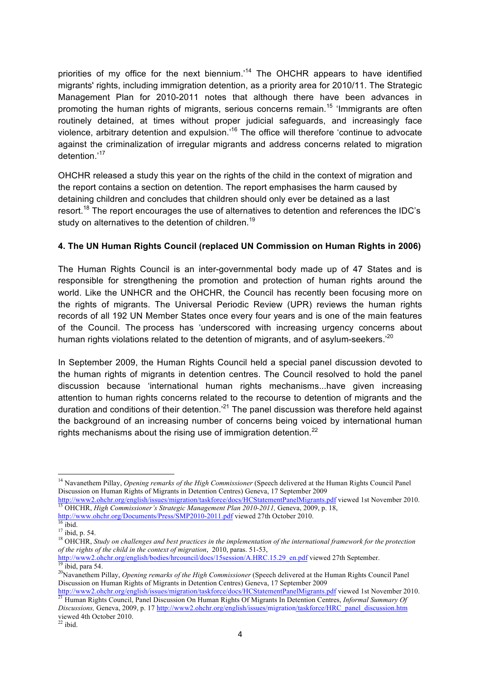priorities of my office for the next biennium.<sup>14</sup> The OHCHR appears to have identified migrants' rights, including immigration detention, as a priority area for 2010/11. The Strategic Management Plan for 2010-2011 notes that although there have been advances in promoting the human rights of migrants, serious concerns remain.<sup>15</sup> 'Immigrants are often routinely detained, at times without proper judicial safeguards, and increasingly face violence, arbitrary detention and expulsion.'16 The office will therefore 'continue to advocate against the criminalization of irregular migrants and address concerns related to migration detention.'<sup>17</sup>

OHCHR released a study this year on the rights of the child in the context of migration and the report contains a section on detention. The report emphasises the harm caused by detaining children and concludes that children should only ever be detained as a last resort.<sup>18</sup> The report encourages the use of alternatives to detention and references the IDC's study on alternatives to the detention of children.<sup>19</sup>

# **4. The UN Human Rights Council (replaced UN Commission on Human Rights in 2006)**

The Human Rights Council is an inter-governmental body made up of 47 States and is responsible for strengthening the promotion and protection of human rights around the world. Like the UNHCR and the OHCHR, the Council has recently been focusing more on the rights of migrants. The Universal Periodic Review (UPR) reviews the human rights records of all 192 UN Member States once every four years and is one of the main features of the Council. The process has 'underscored with increasing urgency concerns about human rights violations related to the detention of migrants, and of asylum-seekers.<sup>20</sup>

In September 2009, the Human Rights Council held a special panel discussion devoted to the human rights of migrants in detention centres. The Council resolved to hold the panel discussion because 'international human rights mechanisms...have given increasing attention to human rights concerns related to the recourse to detention of migrants and the duration and conditions of their detention.<sup>21</sup> The panel discussion was therefore held against the background of an increasing number of concerns being voiced by international human rights mechanisms about the rising use of immigration detention.<sup>22</sup>

<sup>14</sup> Navanethem Pillay, *Opening remarks of the High Commissioner* (Speech delivered at the Human Rights Council Panel Discussion on Human Rights of Migrants in Detention Centres) Geneva, 17 September 2009

http://www2.ohchr.org/english/issues/migration/taskforce/docs/HCStatementPanelMigrants.pdf viewed 1st November 2010. 15 OHCHR, *High Commissioner's Strategic Management Plan 2010-2011,* Geneva, 2009, p. 18, http://www.ohchr.org/Documents/Press/SMP2010-2011.pdf viewed 27th October 2010.<br><sup>16</sup> ibid.<br><sup>17</sup> ibid. p. 54.

<sup>&</sup>lt;sup>18</sup> OHCHR, *Study on challenges and best practices in the implementation of the international framework for the protection of the rights of the child in the context of migration*, 2010, paras. 51-53,

http://www2.ohchr.org/english/bodies/hrcouncil/docs/15session/A.HRC.15.29\_en.pdf viewed 27th September. 19 ibid. para 54.

<sup>20</sup>Navanethem Pillay, *Opening remarks of the High Commissioner* (Speech delivered at the Human Rights Council Panel Discussion on Human Rights of Migrants in Detention Centres) Geneva, 17 September 2009

 $\frac{http://www2.ohchr.org/english/issues/migration/taskforce/docs/HCStatementPanelMigrants.pdf}{21}$  viewed 1st November 2010.<br><sup>21</sup> Human Rights Council, Panel Discussion On Human Rights Of Migrants In Detention Centres, *Informal Summary Of Discussions,* Geneva, 2009, p. 17 http://www2.ohchr.org/english/issues/migration/taskforce/HRC\_panel\_discussion.htm viewed 4th October 2010.

 $^{22}$  ibid.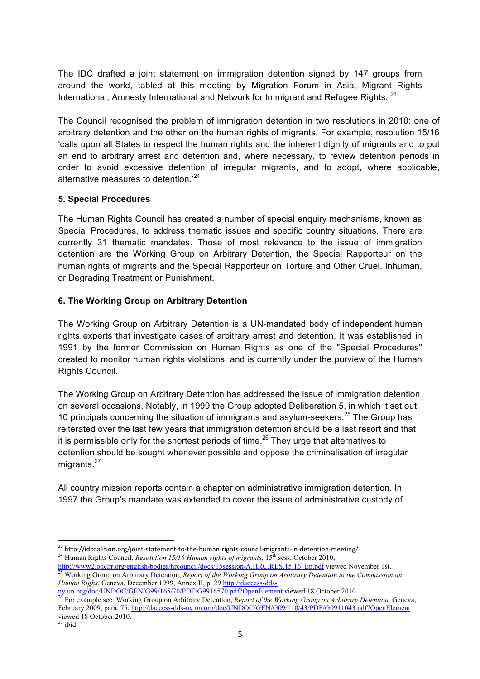The IDC drafted a joint statement on immigration detention signed by 147 groups from around the world, tabled at this meeting by Migration Forum in Asia, Migrant Rights International, Amnesty International and Network for Immigrant and Refugee Rights. <sup>23</sup>

The Council recognised the problem of immigration detention in two resolutions in 2010: one of arbitrary detention and the other on the human rights of migrants. For example, resolution 15/16 'calls upon all States to respect the human rights and the inherent dignity of migrants and to put an end to arbitrary arrest and detention and, where necessary, to review detention periods in order to avoid excessive detention of irregular migrants, and to adopt, where applicable, alternative measures to detention.'<sup>24</sup>

## **5. Special Procedures**

The Human Rights Council has created a number of special enquiry mechanisms, known as Special Procedures, to address thematic issues and specific country situations. There are currently 31 thematic mandates. Those of most relevance to the issue of immigration detention are the Working Group on Arbitrary Detention, the Special Rapporteur on the human rights of migrants and the Special Rapporteur on Torture and Other Cruel, Inhuman, or Degrading Treatment or Punishment.

## **6. The Working Group on Arbitrary Detention**

The Working Group on Arbitrary Detention is a UN-mandated body of independent human rights experts that investigate cases of arbitrary arrest and detention. It was established in 1991 by the former Commission on Human Rights as one of the "Special Procedures" created to monitor human rights violations, and is currently under the purview of the Human Rights Council.

The Working Group on Arbitrary Detention has addressed the issue of immigration detention on several occasions. Notably, in 1999 the Group adopted Deliberation 5, in which it set out 10 principals concerning the situation of immigrants and asylum-seekers. $25$  The Group has reiterated over the last few years that immigration detention should be a last resort and that it is permissible only for the shortest periods of time.<sup>26</sup> They urge that alternatives to detention should be sought whenever possible and oppose the criminalisation of irregular migrants.<sup>27</sup>

All country mission reports contain a chapter on administrative immigration detention. In 1997 the Group's mandate was extended to cover the issue of administrative custody of

<sup>&</sup>lt;sup>23</sup> http://idcoalition.org/joint-statement-to-the-human-rights-council-migrants-in-detention-meeting/<br><sup>24</sup> Human Rights Council, *Resolution 15/16 Human rights of migrants*, 15<sup>th</sup> sess, October 2010,

http://www2.ohchr.org/english/bodies/hrcouncil/docs/15session/A.HRC.RES.15.16 En.pdf viewed November 1st.<br><sup>25</sup> Working Group on Arbitrary Detention, *Report of the Working Group on Arbitrary Detention to the Commission on Human Righs*, Geneva, December 1999, Annex II, p. 29 http://daccess-dds-

ny.un.org/doc/UNDOC/GEN/G99/165/70/PDF/G9916570.pdf?OpenElement viewed 18 October 2010.<br><sup>26</sup> For example see: Working Group on Arbitrary Detention, *Report of the Working Group on Arbitrary Detention*, Geneva, February 2009, para. 75, http://daccess-dds-ny.un.org/doc/UNDOC/GEN/G09/110/43/PDF/G0911043.pdf?OpenElement viewed 18 October 2010.

 $27$  ibid.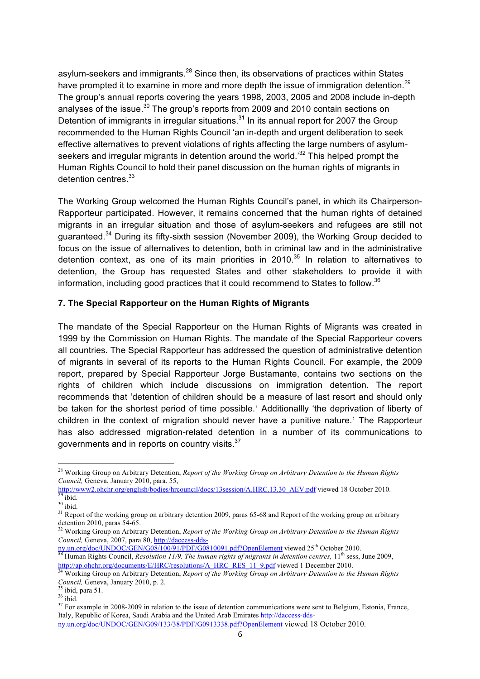asylum-seekers and immigrants.<sup>28</sup> Since then, its observations of practices within States have prompted it to examine in more and more depth the issue of immigration detention.<sup>29</sup> The group's annual reports covering the years 1998, 2003, 2005 and 2008 include in-depth analyses of the issue.<sup>30</sup> The group's reports from 2009 and 2010 contain sections on Detention of immigrants in irregular situations.<sup>31</sup> In its annual report for 2007 the Group recommended to the Human Rights Council 'an in-depth and urgent deliberation to seek effective alternatives to prevent violations of rights affecting the large numbers of asylumseekers and irregular migrants in detention around the world.<sup>32</sup> This helped prompt the Human Rights Council to hold their panel discussion on the human rights of migrants in detention centres.<sup>33</sup>

The Working Group welcomed the Human Rights Council's panel, in which its Chairperson-Rapporteur participated. However, it remains concerned that the human rights of detained migrants in an irregular situation and those of asylum-seekers and refugees are still not guaranteed.<sup>34</sup> During its fifty-sixth session (November 2009), the Working Group decided to focus on the issue of alternatives to detention, both in criminal law and in the administrative detention context, as one of its main priorities in 2010.<sup>35</sup> In relation to alternatives to detention, the Group has requested States and other stakeholders to provide it with information, including good practices that it could recommend to States to follow.<sup>36</sup>

#### **7. The Special Rapporteur on the Human Rights of Migrants**

The mandate of the Special Rapporteur on the Human Rights of Migrants was created in 1999 by the Commission on Human Rights. The mandate of the Special Rapporteur covers all countries. The Special Rapporteur has addressed the question of administrative detention of migrants in several of its reports to the Human Rights Council. For example, the 2009 report, prepared by Special Rapporteur Jorge Bustamante, contains two sections on the rights of children which include discussions on immigration detention. The report recommends that 'detention of children should be a measure of last resort and should only be taken for the shortest period of time possible.' Additionallly 'the deprivation of liberty of children in the context of migration should never have a punitive nature.' The Rapporteur has also addressed migration-related detention in a number of its communications to governments and in reports on country visits.<sup>37</sup>

<sup>28</sup> Working Group on Arbitrary Detention, *Report of the Working Group on Arbitrary Detention to the Human Rights Council,* Geneva, January 2010, para. 55,

http://www2.ohchr.org/english/bodies/hrcouncil/docs/13session/A.HRC.13.30\_AEV.pdf viewed 18 October 2010.

 $30$  ibid.

 $31$  Report of the working group on arbitrary detention 2009, paras 65-68 and Report of the working group on arbitrary detention 2010, paras 54-65.

<sup>&</sup>lt;sup>32</sup> Working Group on Arbitrary Detention, *Report of the Working Group on Arbitrary Detention to the Human Rights Council,* Geneva, 2007, para 80, http://daccess-dds-

ny.un.org/doc/UNDOC/GEN/G08/100/91/PDF/G0810091.pdf?OpenElement viewed 25<sup>th</sup> October 2010.<br><sup>33</sup> Human Rights Council, *Resolution 11/9. The human rights of migrants in detention centres,* 11<sup>th</sup> sess, June 2009,

http://ap.ohchr.org/documents/E/HRC/resolutions/A\_HRC\_RES\_11\_9.pdf viewed 1 December 2010.<br><sup>34</sup> Working Group on Arbitrary Detention, *Report of the Working Group on Arbitrary Detention to the Human Rights Council, Geneva, January 2010, p. 2.*<br><sup>35</sup> ibid, para 51.<br><sup>36</sup> ibid.

 $37$  For example in 2008-2009 in relation to the issue of detention communications were sent to Belgium, Estonia, France, Italy, Republic of Korea, Saudi Arabia and the United Arab Emirates http://daccess-dds-

ny.un.org/doc/UNDOC/GEN/G09/133/38/PDF/G0913338.pdf?OpenElement viewed 18 October 2010.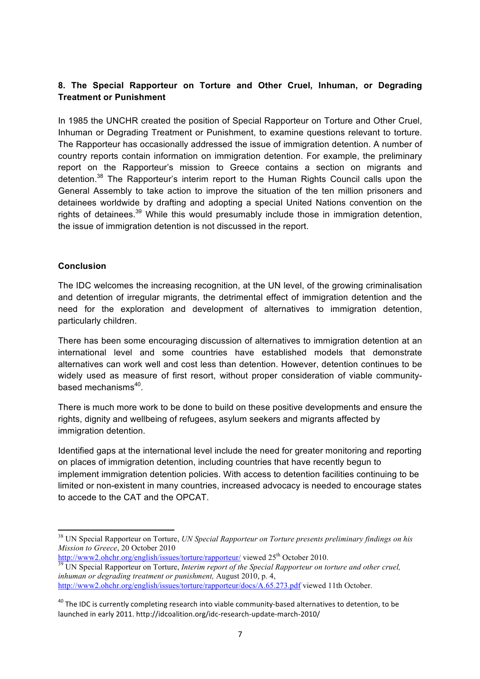# **8. The Special Rapporteur on Torture and Other Cruel, Inhuman, or Degrading Treatment or Punishment**

In 1985 the UNCHR created the position of Special Rapporteur on Torture and Other Cruel, Inhuman or Degrading Treatment or Punishment, to examine questions relevant to torture. The Rapporteur has occasionally addressed the issue of immigration detention. A number of country reports contain information on immigration detention. For example, the preliminary report on the Rapporteur's mission to Greece contains a section on migrants and detention.38 The Rapporteur's interim report to the Human Rights Council calls upon the General Assembly to take action to improve the situation of the ten million prisoners and detainees worldwide by drafting and adopting a special United Nations convention on the rights of detainees.<sup>39</sup> While this would presumably include those in immigration detention, the issue of immigration detention is not discussed in the report.

#### **Conclusion**

""""""""""""""""""""""""""""""""""""""""""""""""""""""""""""

The IDC welcomes the increasing recognition, at the UN level, of the growing criminalisation and detention of irregular migrants, the detrimental effect of immigration detention and the need for the exploration and development of alternatives to immigration detention, particularly children.

There has been some encouraging discussion of alternatives to immigration detention at an international level and some countries have established models that demonstrate alternatives can work well and cost less than detention. However, detention continues to be widely used as measure of first resort, without proper consideration of viable communitybased mechanisms<sup>40</sup>.

There is much more work to be done to build on these positive developments and ensure the rights, dignity and wellbeing of refugees, asylum seekers and migrants affected by immigration detention.

Identified gaps at the international level include the need for greater monitoring and reporting on places of immigration detention, including countries that have recently begun to implement immigration detention policies. With access to detention facilities continuing to be limited or non-existent in many countries, increased advocacy is needed to encourage states to accede to the CAT and the OPCAT.

<sup>38</sup> UN Special Rapporteur on Torture, *UN Special Rapporteur on Torture presents preliminary findings on his Mission to Greece*, 20 October 2010

http://www2.ohchr.org/english/issues/torture/rapporteur/ viewed 25<sup>th</sup> October 2010.<br><sup>39</sup> UN Special Rapporteur on Torture, *Interim report of the Special Rapporteur on torture and other cruel*, *inhuman or degrading treatment or punishment,* August 2010, p. 4, http://www2.ohchr.org/english/issues/torture/rapporteur/docs/A.65.273.pdf viewed 11th October.

 $40$  The IDC is currently completing research into viable community-based alternatives to detention, to be launched in early 2011. http://idcoalition.org/idc-research-update-march-2010/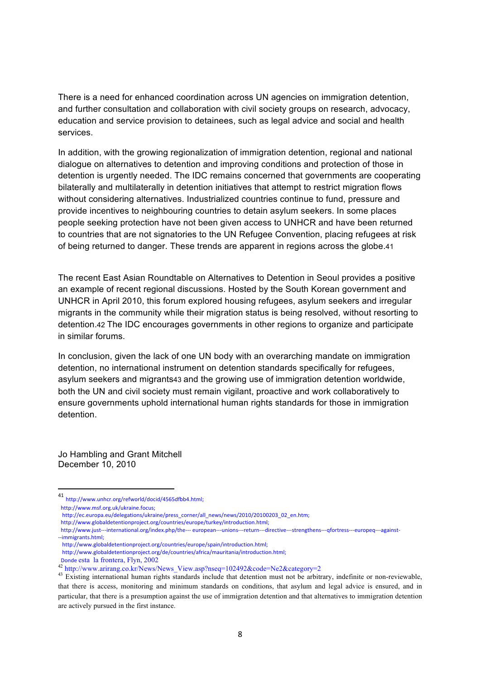There is a need for enhanced coordination across UN agencies on immigration detention, and further consultation and collaboration with civil society groups on research, advocacy, education and service provision to detainees, such as legal advice and social and health services.

In addition, with the growing regionalization of immigration detention, regional and national dialogue on alternatives to detention and improving conditions and protection of those in detention is urgently needed. The IDC remains concerned that governments are cooperating bilaterally and multilaterally in detention initiatives that attempt to restrict migration flows without considering alternatives. Industrialized countries continue to fund, pressure and provide incentives to neighbouring countries to detain asylum seekers. In some places people seeking protection have not been given access to UNHCR and have been returned to countries that are not signatories to the UN Refugee Convention, placing refugees at risk of being returned to danger. These trends are apparent in regions across the globe.41

The recent East Asian Roundtable on Alternatives to Detention in Seoul provides a positive an example of recent regional discussions. Hosted by the South Korean government and UNHCR in April 2010, this forum explored housing refugees, asylum seekers and irregular migrants in the community while their migration status is being resolved, without resorting to detention.42 The IDC encourages governments in other regions to organize and participate in similar forums.

In conclusion, given the lack of one UN body with an overarching mandate on immigration detention, no international instrument on detention standards specifically for refugees, asylum seekers and migrants43 and the growing use of immigration detention worldwide, both the UN and civil society must remain vigilant, proactive and work collaboratively to ensure governments uphold international human rights standards for those in immigration detention.

Jo Hambling and Grant Mitchell December 10, 2010

""""""""""""""""""""""""""""""""""""""""""""""""""""""""""""

<sup>41</sup> http://www.unhcr.org/refworld/docid/4565dfbb4.html;

http://www.msf.org.uk/ukraine.focus;

http://ec.europa.eu/delegations/ukraine/press\_corner/all\_news/news/2010/20100203\_02\_en.htm;

http://www.globaldetentionproject.org/countries/europe/turkey/introduction.html;

http://www.just---international.org/index.php/the--- european---unions---return---directive---strengthens---qfortress---europeq---against---immigrants.html:

http://www.globaldetentionproject.org/de/countries/africa/mauritania/introduction.html;

http://www.globaldetentionproject.org/countries/europe/spain/introduction.html;

Donde esta la frontera, Flyn, 2002<br><sup>42</sup> http://www.arirang.co.kr/News/News\_View.asp?nseq=102492&code=Ne2&category=2<br><sup>43</sup> Existing international human rights standards include that detention must not be arbitrary, indefinit that there is access, monitoring and minimum standards on conditions, that asylum and legal advice is ensured, and in particular, that there is a presumption against the use of immigration detention and that alternatives to immigration detention are actively pursued in the first instance.